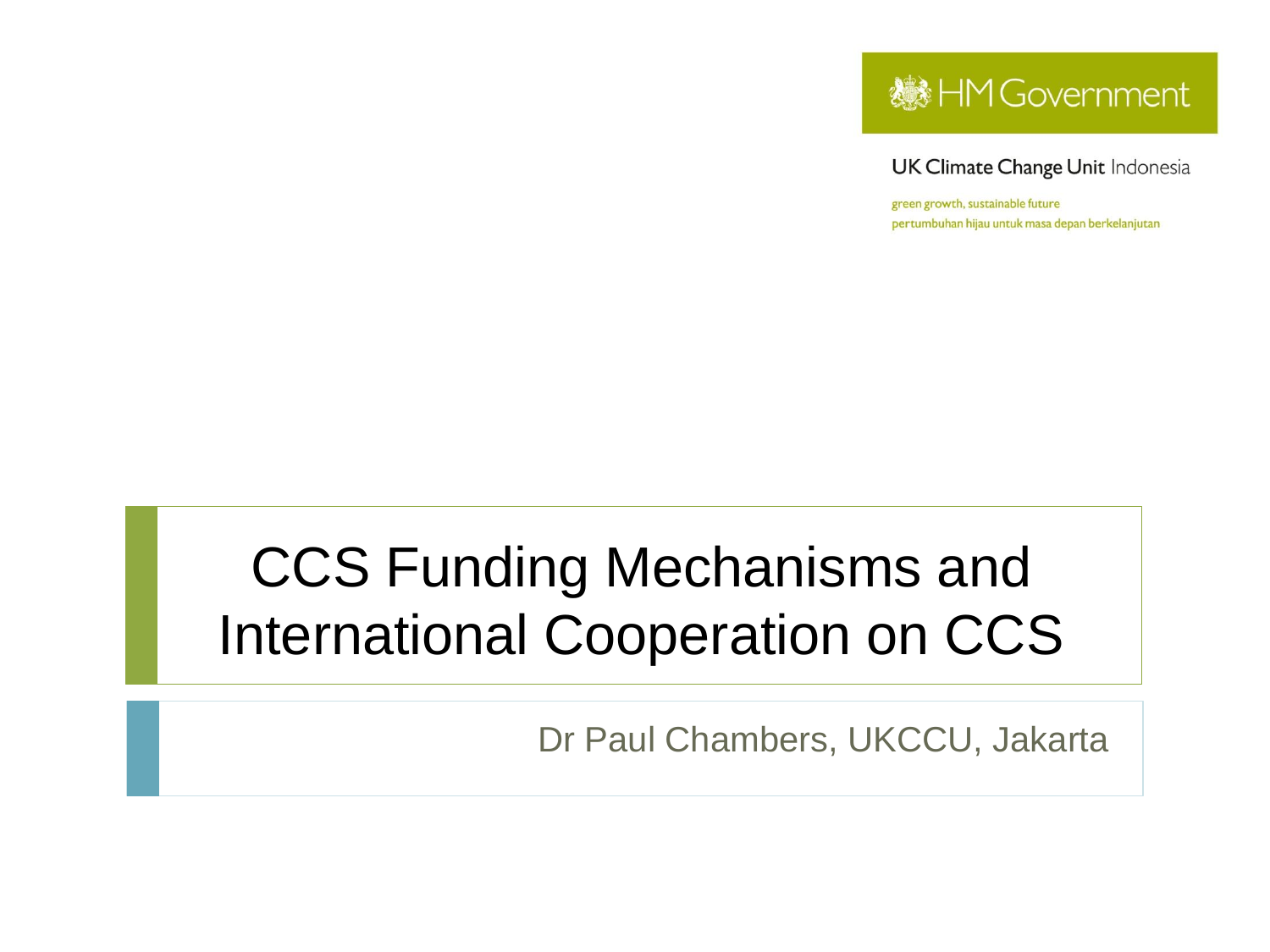#### **楼HMGovernment**

**UK Climate Change Unit Indonesia** 

green growth, sustainable future pertumbuhan hijau untuk masa depan berkelanjutan

### CCS Funding Mechanisms and International Cooperation on CCS

Dr Paul Chambers, UKCCU, Jakarta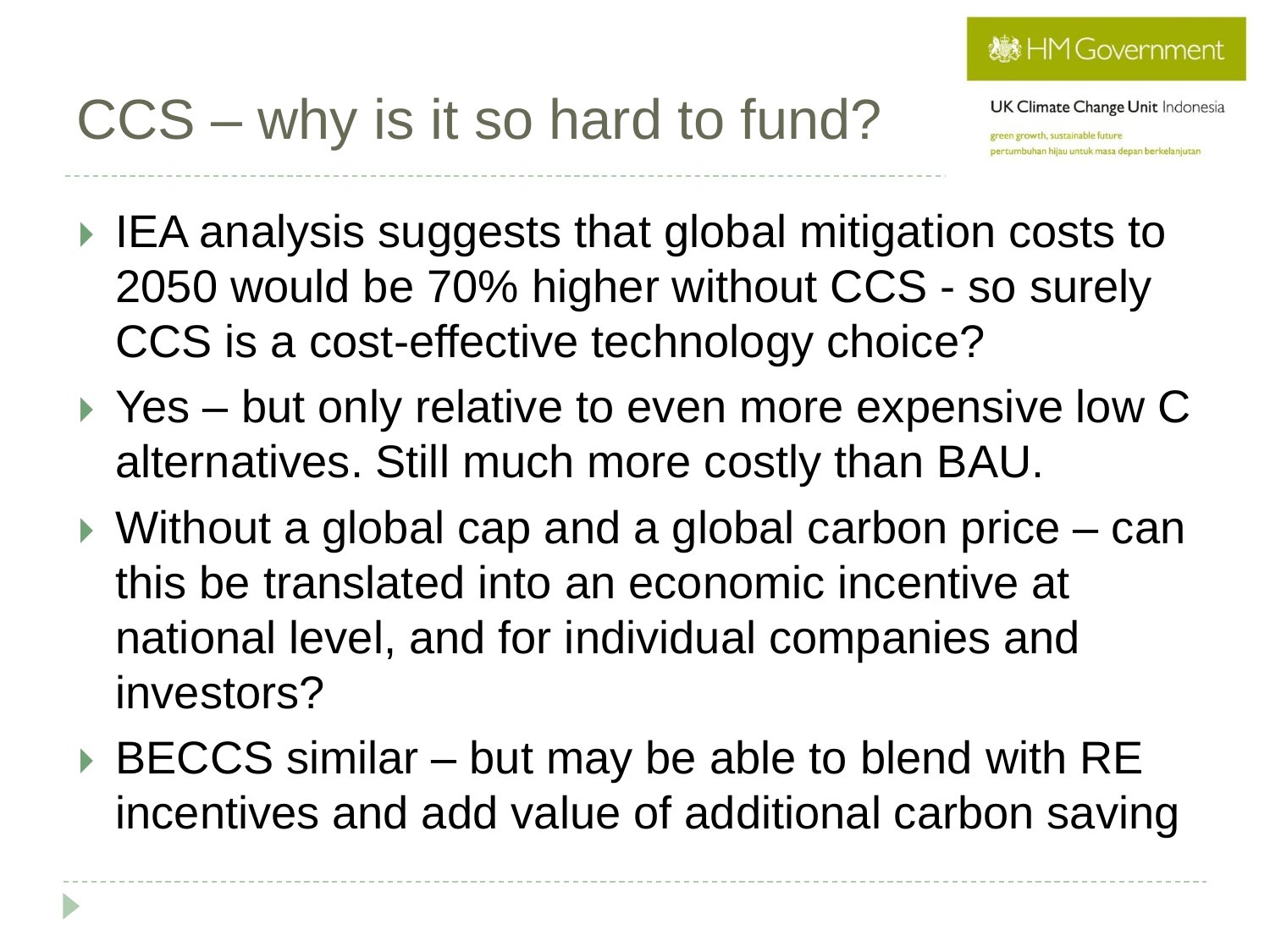

**UK Climate Change Unit Indonesia** 

green growth, sustainable future pertumbuhan hijau untuk masa depan berkelanjutan

- ▶ IEA analysis suggests that global mitigation costs to 2050 would be 70% higher without CCS - so surely CCS is a cost-effective technology choice?
- ▶ Yes but only relative to even more expensive low C alternatives. Still much more costly than BAU.
- Without a global cap and a global carbon price can this be translated into an economic incentive at national level, and for individual companies and investors?
- ▶ BECCS similar but may be able to blend with RE incentives and add value of additional carbon saving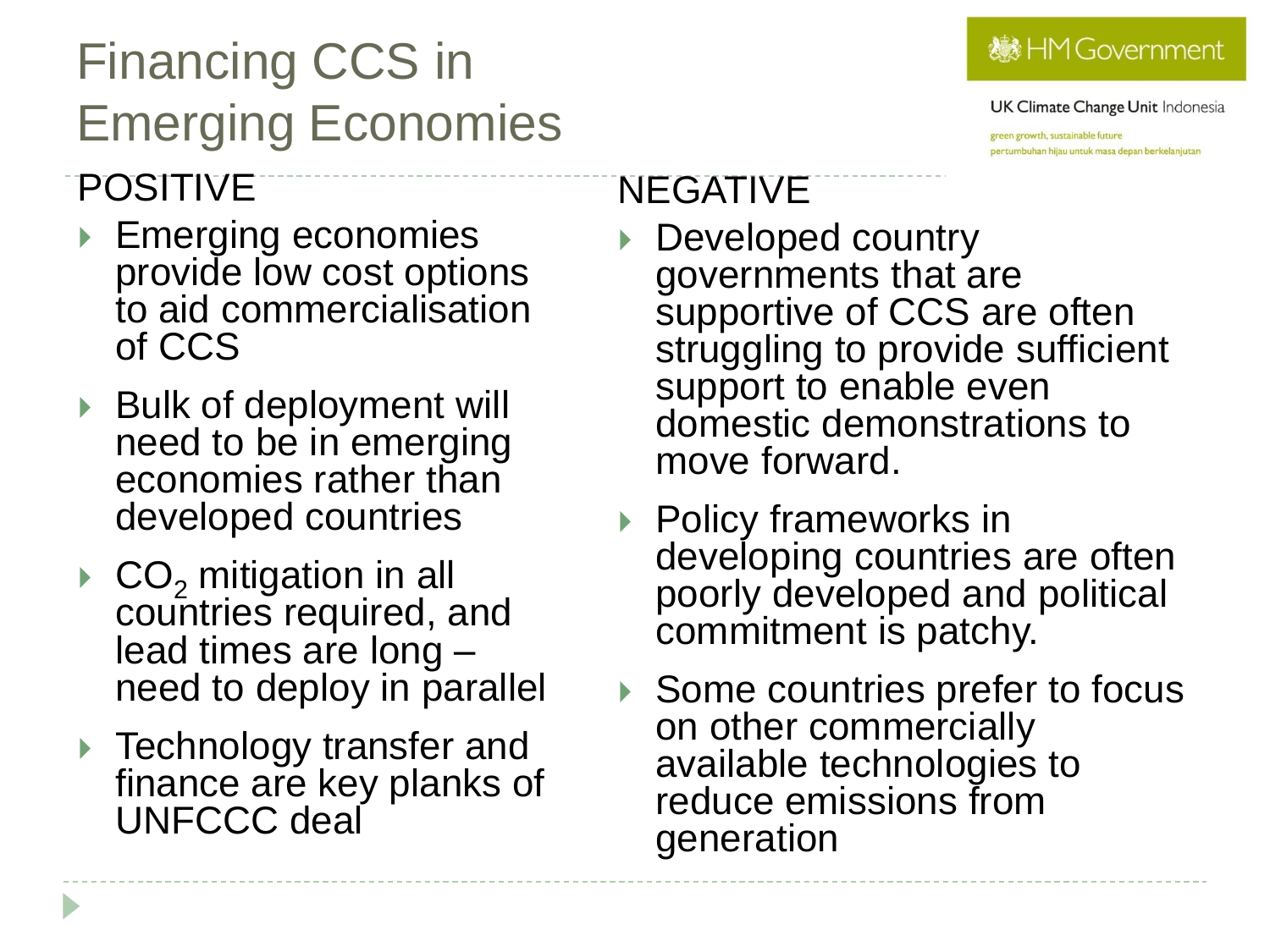### Financing CCS in Emerging Economies

#### **機HMGovernment**

**UK Climate Change Unit Indonesia** 

green growth, sustainable future pertumbuhan hijau untuk masa depan berkelanjutan

#### POSITIVE

- ▶ Emerging economies provide low cost options to aid commercialisation of CCS
- ▶ Bulk of deployment will need to be in emerging economies rather than developed countries
- $\triangleright$  CO<sub>2</sub> mitigation in all countries required, and lead times are long – need to deploy in parallel
- ▶ Technology transfer and finance are key planks of UNFCCC deal

#### NEGATIVE

- Developed country governments that are supportive of CCS are often struggling to provide sufficient support to enable even domestic demonstrations to move forward.
- ▶ Policy frameworks in developing countries are often poorly developed and political commitment is patchy.
- ▶ Some countries prefer to focus on other commercially available technologies to reduce emissions from generation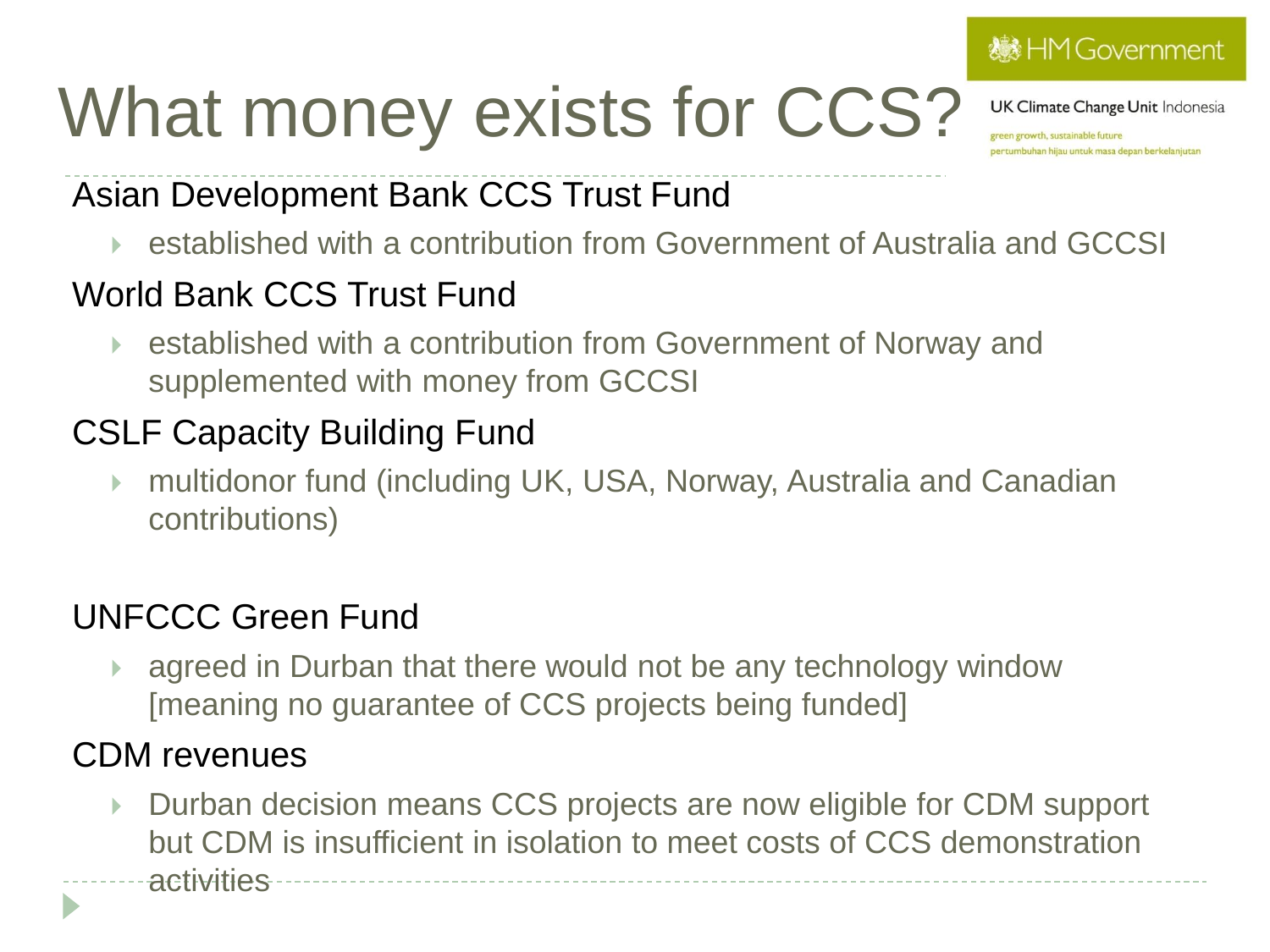

**UK Climate Change Unit Indonesia** 

pertumbuhan hijau untuk masa depan berkelanjutan

green growth, sustainable future

## What money exists for CCS?

Asian Development Bank CCS Trust Fund

established with a contribution from Government of Australia and GCCSI

#### World Bank CCS Trust Fund

 established with a contribution from Government of Norway and supplemented with money from GCCSI

#### CSLF Capacity Building Fund

 multidonor fund (including UK, USA, Norway, Australia and Canadian contributions)

#### UNFCCC Green Fund

 agreed in Durban that there would not be any technology window [meaning no guarantee of CCS projects being funded]

#### CDM revenues

▶ Durban decision means CCS projects are now eligible for CDM support but CDM is insufficient in isolation to meet costs of CCS demonstration activities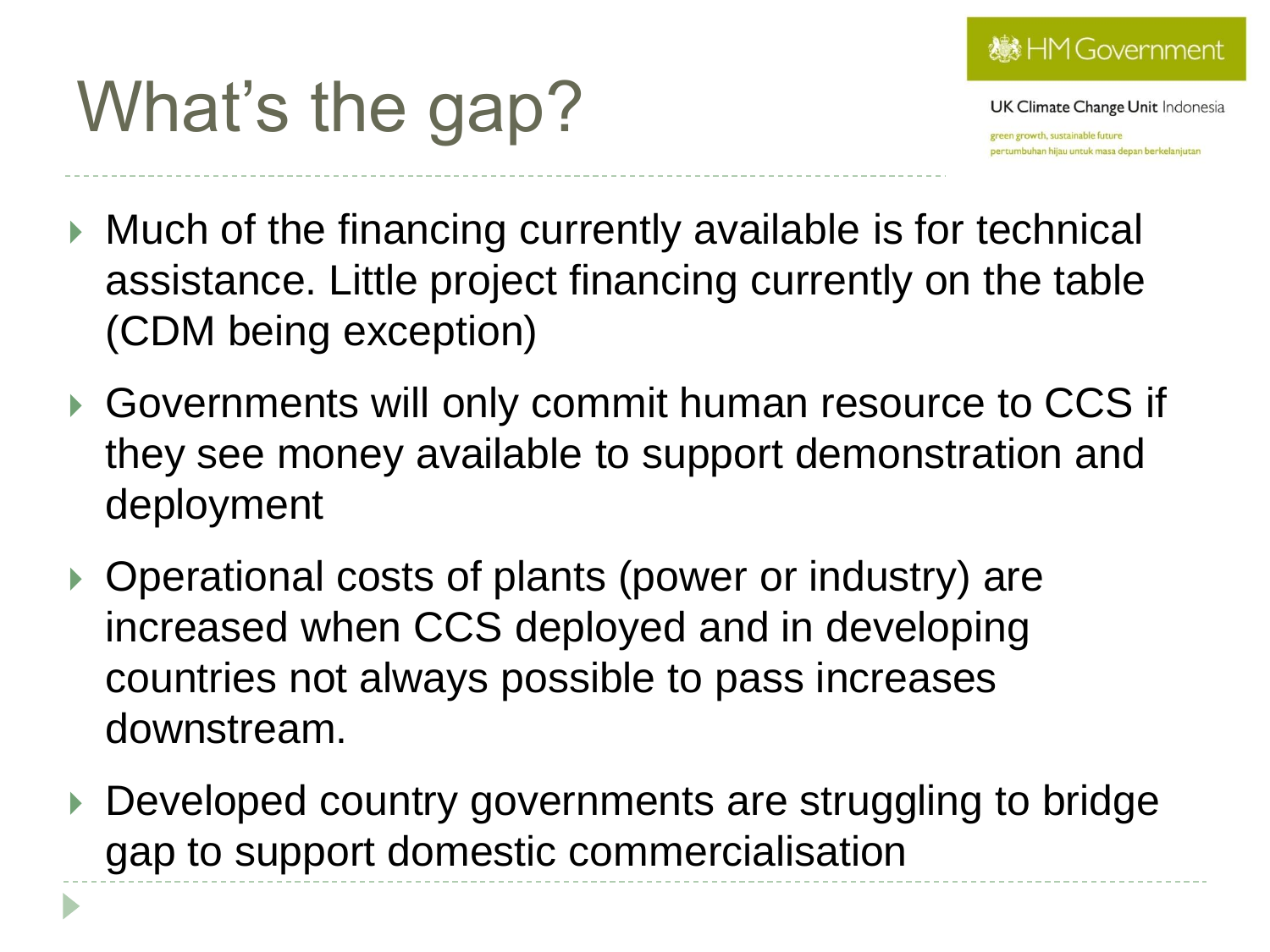

## What's the gap?

**UK Climate Change Unit Indonesia** 

green growth, sustainable future pertumbuhan hijau untuk masa depan berkelanjutan

- Much of the financing currently available is for technical assistance. Little project financing currently on the table (CDM being exception)
- Governments will only commit human resource to CCS if they see money available to support demonstration and deployment
- ▶ Operational costs of plants (power or industry) are increased when CCS deployed and in developing countries not always possible to pass increases downstream.
- Developed country governments are struggling to bridge gap to support domestic commercialisation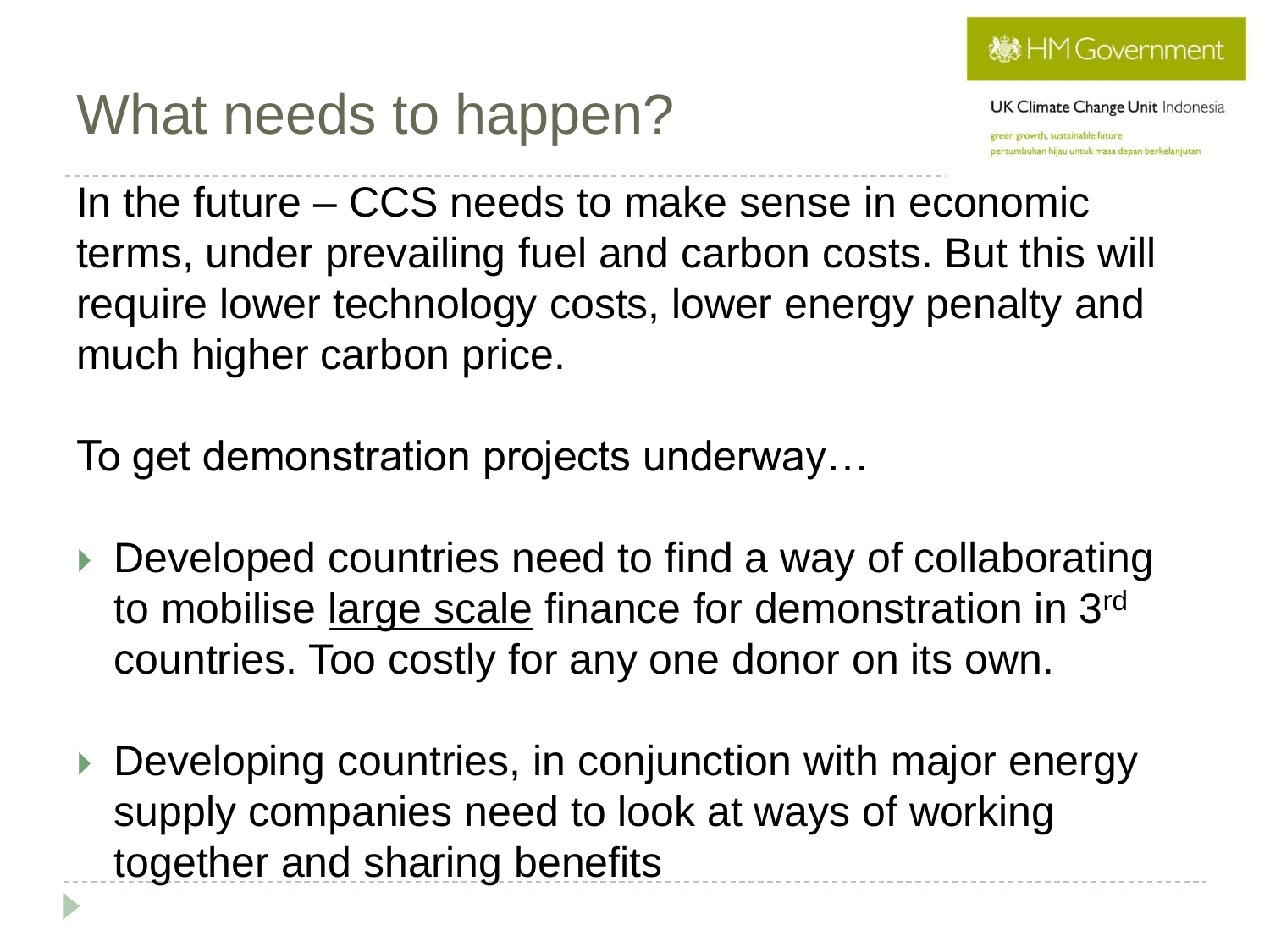

### What needs to happen?

**UK Climate Change Unit Indonesia** 

th, sustainable future nbuhan hijau untuk masa depan berkelanjutan

In the future – CCS needs to make sense in economic terms, under prevailing fuel and carbon costs. But this will require lower technology costs, lower energy penalty and much higher carbon price.

To get demonstration projects underway…

- ▶ Developed countries need to find a way of collaborating to mobilise large scale finance for demonstration in 3rd countries. Too costly for any one donor on its own.
- Developing countries, in conjunction with major energy supply companies need to look at ways of working together and sharing benefits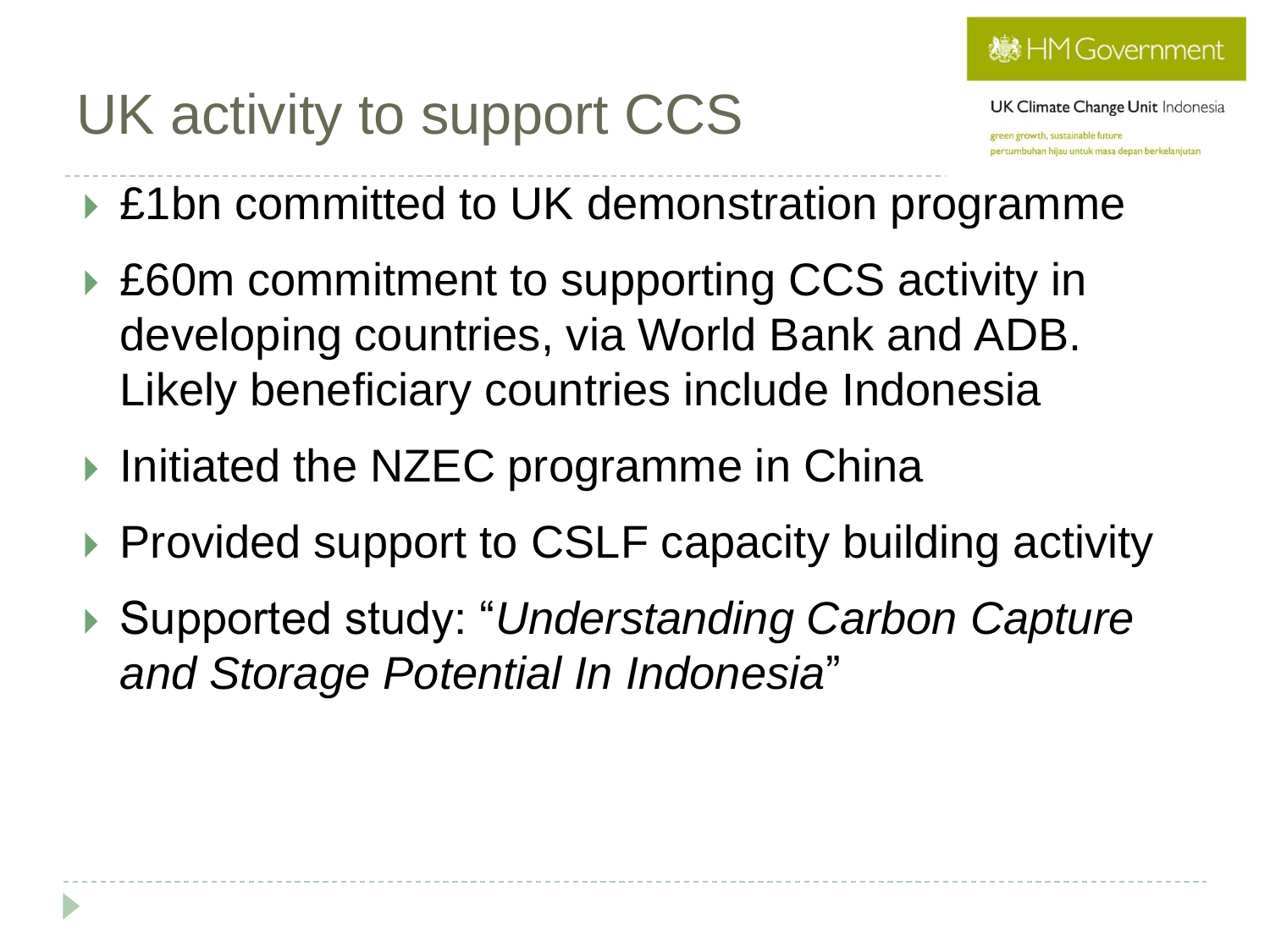

### UK activity to support CCS

**UK Climate Change Unit Indonesia** 

een growth, sustainable future pertumbuhan hijau untuk masa depan berkelanjutan

- ▶ £1bn committed to UK demonstration programme
- ▶ £60m commitment to supporting CCS activity in developing countries, via World Bank and ADB. Likely beneficiary countries include Indonesia
- ▶ Initiated the NZEC programme in China
- ▶ Provided support to CSLF capacity building activity
- Supported study: "*Understanding Carbon Capture and Storage Potential In Indonesia*"